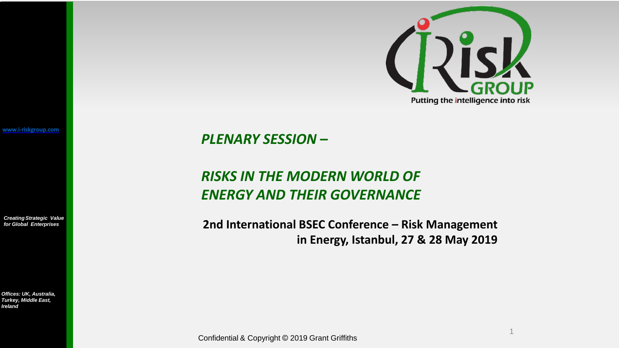

**[www.i-riskgroup.com](http://www.i-riskgroup.com/)**

*CreatingStrategic Value for Global Enterprises*

*Offices: UK, Australia, Turkey, Middle East, Ireland*

*PLENARY SESSION –*

### *RISKS IN THE MODERN WORLD OF ENERGY AND THEIR GOVERNANCE*

**2nd International BSEC Conference – Risk Management in Energy, Istanbul, 27 & 28 May 2019**

1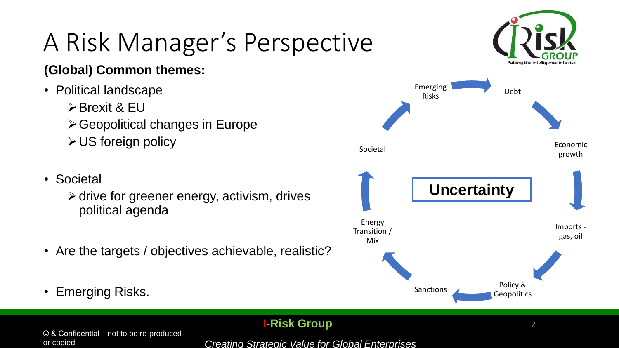# A Risk Manager's Perspective

### **(Global) Common themes:**

### • Political landscape

- Brexit & EU
- Geopolitical changes in Europe
- $\triangleright$  US foreign policy
- Societal
	- $\triangleright$  drive for greener energy, activism, drives political agenda
- Are the targets / objectives achievable, realistic?
- Emerging Risks.



2

### **I-Risk Group**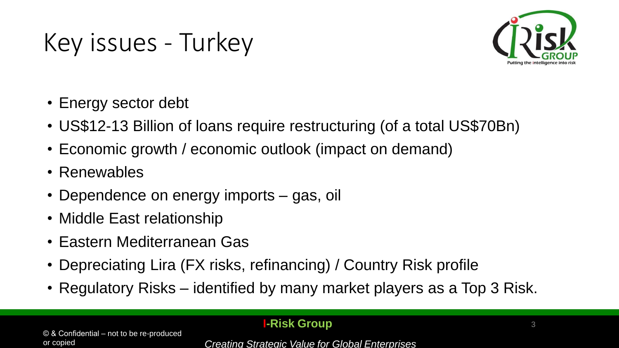### Key issues - Turkey



- Energy sector debt
- US\$12-13 Billion of loans require restructuring (of a total US\$70Bn)
- Economic growth / economic outlook (impact on demand)
- Renewables
- Dependence on energy imports gas, oil
- Middle East relationship
- Eastern Mediterranean Gas
- Depreciating Lira (FX risks, refinancing) / Country Risk profile
- Regulatory Risks identified by many market players as a Top 3 Risk.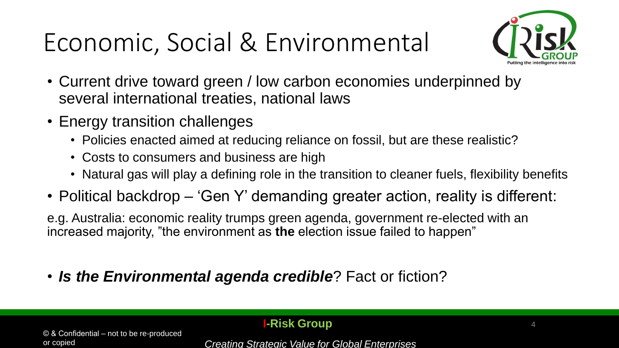# Economic, Social & Environmental



- Current drive toward green / low carbon economies underpinned by several international treaties, national laws
- Energy transition challenges
	- Policies enacted aimed at reducing reliance on fossil, but are these realistic?
	- Costs to consumers and business are high
	- Natural gas will play a defining role in the transition to cleaner fuels, flexibility benefits
- Political backdrop 'Gen Y' demanding greater action, reality is different:

e.g. Australia: economic reality trumps green agenda, government re-elected with an increased majority, "the environment as **the** election issue failed to happen"

• *Is the Environmental agenda credible*? Fact or fiction?

### **I-Risk Group**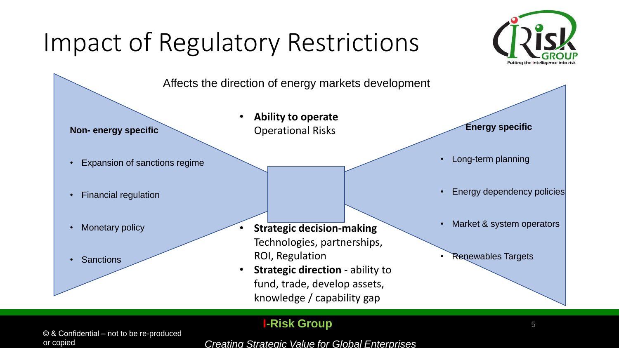# Impact of Regulatory Restrictions





#### **I-Risk Group**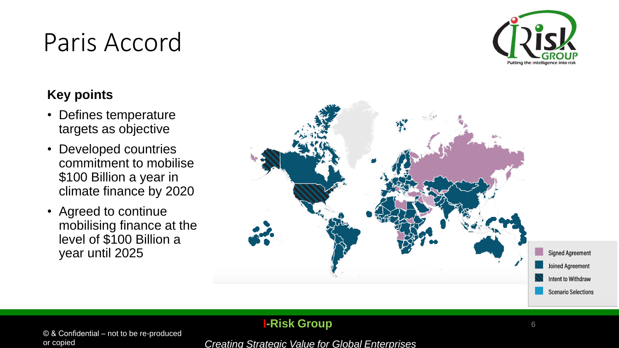### Paris Accord

# Putting the intelligence in

### **Key points**

- Defines temperature targets as objective
- Developed countries commitment to mobilise \$100 Billion a year in climate finance by 2020
- Agreed to continue mobilising finance at the level of \$100 Billion a year until 2025



#### **I-Risk Group**

© & Confidential – not to be re-produced or copied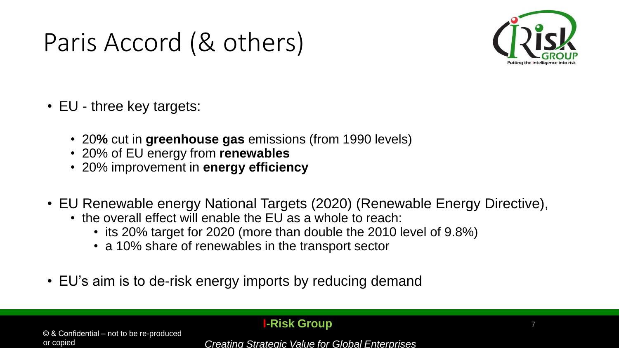# Paris Accord (& others)



- EU three key targets:
	- 20**%** cut in **greenhouse gas** emissions (from 1990 levels)
	- 20% of EU energy from **renewables**
	- 20% improvement in **energy efficiency**
- EU Renewable energy National Targets (2020) (Renewable Energy Directive),
	- the overall effect will enable the EU as a whole to reach:
		- its 20% target for 2020 (more than double the 2010 level of 9.8%)
		- a 10% share of renewables in the transport sector
- EU's aim is to de-risk energy imports by reducing demand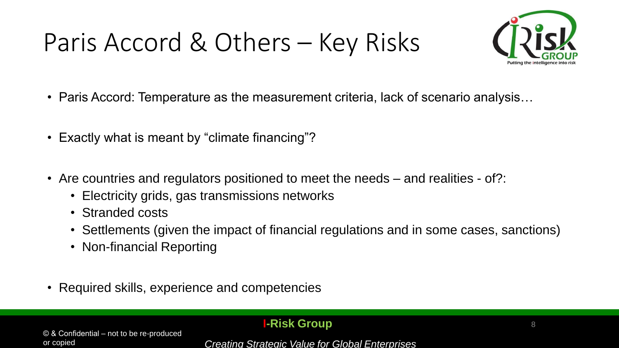# Paris Accord & Others – Key Risks



- Paris Accord: Temperature as the measurement criteria, lack of scenario analysis…
- Exactly what is meant by "climate financing"?
- Are countries and regulators positioned to meet the needs and realities of?:
	- Electricity grids, gas transmissions networks
	- Stranded costs
	- Settlements (given the impact of financial regulations and in some cases, sanctions)
	- Non-financial Reporting
- Required skills, experience and competencies

### **I-Risk Group**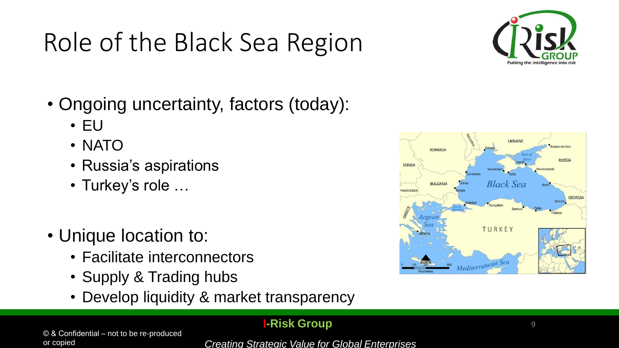# Role of the Black Sea Region



- Ongoing uncertainty, factors (today):
	- EU
	- NATO
	- Russia's aspirations
	- Turkey's role …
- Unique location to:
	- Facilitate interconnectors
	- Supply & Trading hubs
	- Develop liquidity & market transparency

### **I-Risk Group**

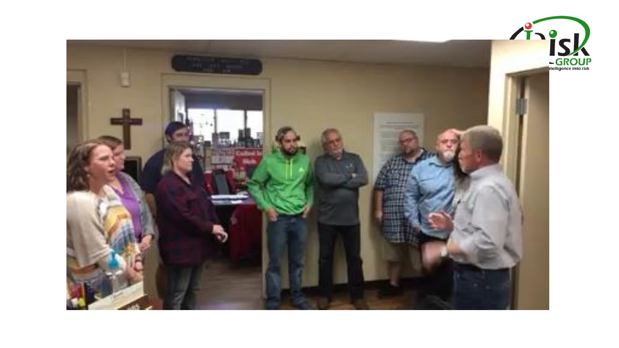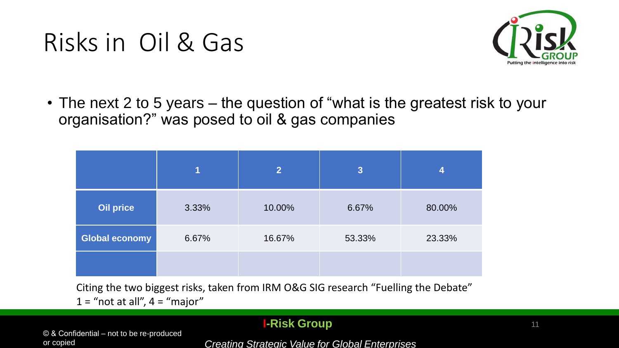### Risks in Oil & Gas



• The next 2 to 5 years – the question of "what is the greatest risk to your organisation?" was posed to oil & gas companies

|                       |       | $\overline{2}$ | $\overline{\mathbf{3}}$ |        |
|-----------------------|-------|----------------|-------------------------|--------|
| <b>Oil price</b>      | 3.33% | 10.00%         | 6.67%                   | 80.00% |
| <b>Global economy</b> | 6.67% | 16.67%         | 53.33%                  | 23.33% |
|                       |       |                |                         |        |

Citing the two biggest risks, taken from IRM O&G SIG research "Fuelling the Debate"

 $1 =$  "not at all",  $4 =$  "major"

#### **I-Risk Group**

© & Confidential – not to be re-produced or copied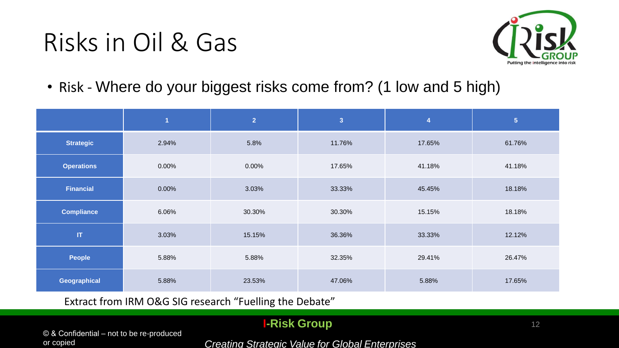## Risks in Oil & Gas



• Risk - Where do your biggest risks come from? (1 low and 5 high)

|                        | $\overline{\mathbf{1}}$ | 2 <sup>1</sup> | $\overline{3}$ | $\overline{4}$ | $\overline{5}$ |
|------------------------|-------------------------|----------------|----------------|----------------|----------------|
| <b>Strategic</b>       | 2.94%                   | 5.8%           | 11.76%         | 17.65%         | 61.76%         |
| <b>Operations</b>      | 0.00%                   | $0.00\%$       | 17.65%         | 41.18%         | 41.18%         |
| <b>Financial</b>       | 0.00%                   | 3.03%          | 33.33%         | 45.45%         | 18.18%         |
| <b>Compliance</b>      | 6.06%                   | 30.30%         | 30.30%         | 15.15%         | 18.18%         |
| $\mathsf{I}\mathsf{T}$ | 3.03%                   | 15.15%         | 36.36%         | 33.33%         | 12.12%         |
| People                 | 5.88%                   | 5.88%          | 32.35%         | 29.41%         | 26.47%         |
| Geographical           | 5.88%                   | 23.53%         | 47.06%         | 5.88%          | 17.65%         |

Extract from IRM O&G SIG research "Fuelling the Debate"

#### **I-Risk Group**

© & Confidential – not to be re-produced or copied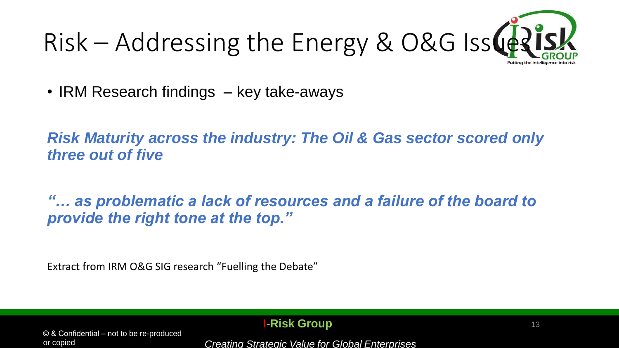

• IRM Research findings – key take-aways

*Risk Maturity across the industry: The Oil & Gas sector scored only three out of five*

*"… as problematic a lack of resources and a failure of the board to provide the right tone at the top."*

Extract from IRM O&G SIG research "Fuelling the Debate"

© & Confidential – not to be re-produced or copied

#### **I-Risk Group**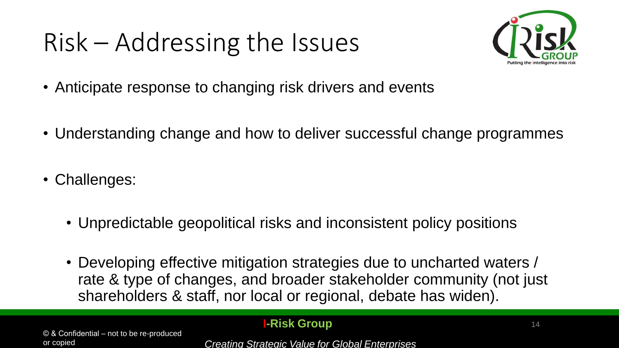# Risk – Addressing the Issues



- Anticipate response to changing risk drivers and events
- Understanding change and how to deliver successful change programmes
- Challenges:
	- Unpredictable geopolitical risks and inconsistent policy positions
	- Developing effective mitigation strategies due to uncharted waters / rate & type of changes, and broader stakeholder community (not just shareholders & staff, nor local or regional, debate has widen).

### **I-Risk Group**

© & Confidential – not to be re-produced or copied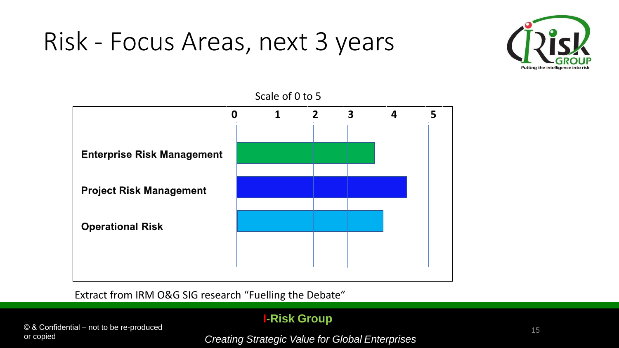### Risk - Focus Areas, next 3 years





Extract from IRM O&G SIG research "Fuelling the Debate"

**I-Risk Group**

 $\odot$  & Confidential – not to be re-produced  $\ddot{\hspace{1cm}}$  15 or copied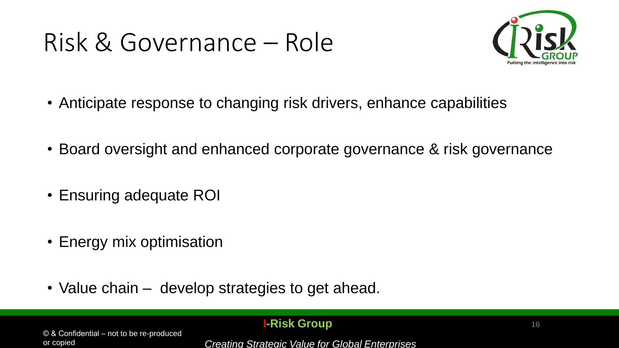## Risk & Governance – Role



- Anticipate response to changing risk drivers, enhance capabilities
- Board oversight and enhanced corporate governance & risk governance
- Ensuring adequate ROI
- Energy mix optimisation
- Value chain develop strategies to get ahead.

### **I-Risk Group**

© & Confidential – not to be re-produced or copied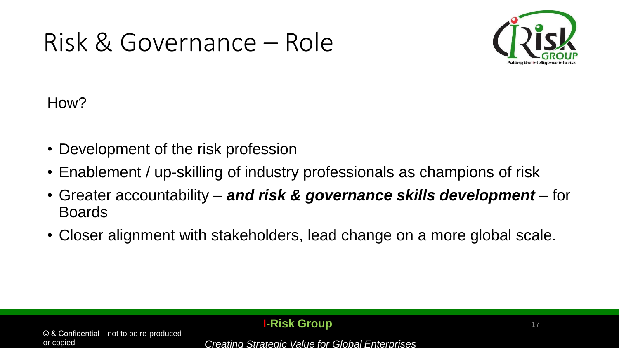### Risk & Governance – Role



How?

- Development of the risk profession
- Enablement / up-skilling of industry professionals as champions of risk
- Greater accountability *and risk & governance skills development*  for Boards
- Closer alignment with stakeholders, lead change on a more global scale.

**I-Risk Group**